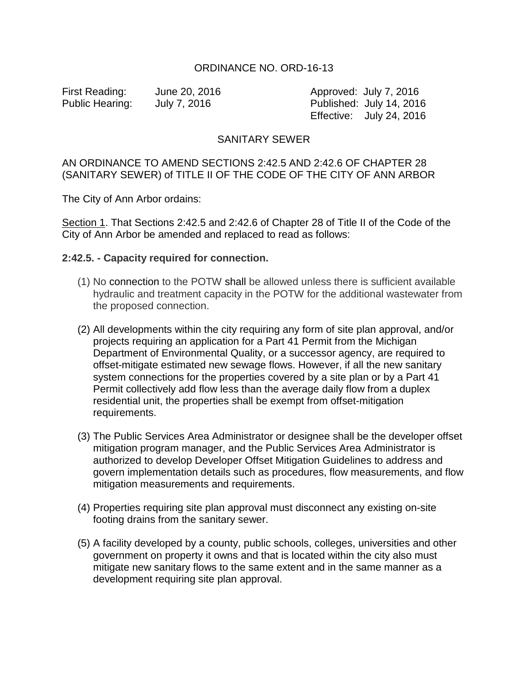### ORDINANCE NO. ORD-16-13

First Reading: June 20, 2016 Approved: July 7, 2016 Public Hearing: July 7, 2016 Published: July 14, 2016 Effective: July 24, 2016

# SANITARY SEWER

## AN ORDINANCE TO AMEND SECTIONS 2:42.5 AND 2:42.6 OF CHAPTER 28 (SANITARY SEWER) of TITLE II OF THE CODE OF THE CITY OF ANN ARBOR

The City of Ann Arbor ordains:

Section 1. That Sections 2:42.5 and 2:42.6 of Chapter 28 of Title II of the Code of the City of Ann Arbor be amended and replaced to read as follows:

#### **2:42.5. - Capacity required for connection.**

- (1) No connection to the POTW shall be allowed unless there is sufficient available hydraulic and treatment capacity in the POTW for the additional wastewater from the proposed connection.
- (2) All developments within the city requiring any form of site plan approval, and/or projects requiring an application for a Part 41 Permit from the Michigan Department of Environmental Quality, or a successor agency, are required to offset-mitigate estimated new sewage flows. However, if all the new sanitary system connections for the properties covered by a site plan or by a Part 41 Permit collectively add flow less than the average daily flow from a duplex residential unit, the properties shall be exempt from offset-mitigation requirements.
- (3) The Public Services Area Administrator or designee shall be the developer offset mitigation program manager, and the Public Services Area Administrator is authorized to develop Developer Offset Mitigation Guidelines to address and govern implementation details such as procedures, flow measurements, and flow mitigation measurements and requirements.
- (4) Properties requiring site plan approval must disconnect any existing on-site footing drains from the sanitary sewer.
- (5) A facility developed by a county, public schools, colleges, universities and other government on property it owns and that is located within the city also must mitigate new sanitary flows to the same extent and in the same manner as a development requiring site plan approval.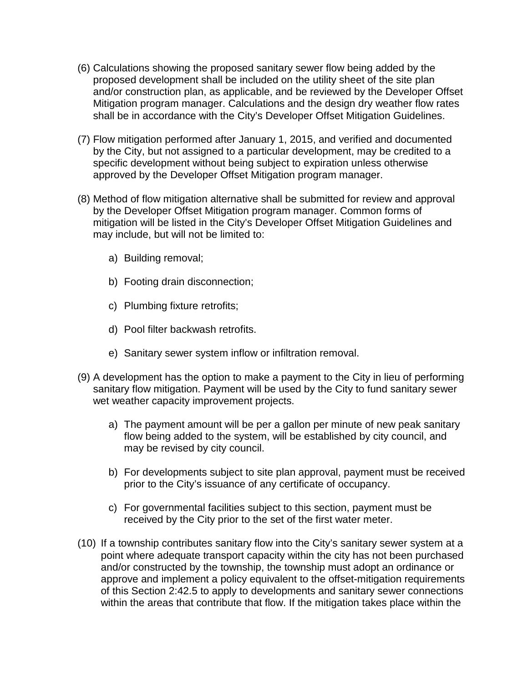- (6) Calculations showing the proposed sanitary sewer flow being added by the proposed development shall be included on the utility sheet of the site plan and/or construction plan, as applicable, and be reviewed by the Developer Offset Mitigation program manager. Calculations and the design dry weather flow rates shall be in accordance with the City's Developer Offset Mitigation Guidelines.
- (7) Flow mitigation performed after January 1, 2015, and verified and documented by the City, but not assigned to a particular development, may be credited to a specific development without being subject to expiration unless otherwise approved by the Developer Offset Mitigation program manager.
- (8) Method of flow mitigation alternative shall be submitted for review and approval by the Developer Offset Mitigation program manager. Common forms of mitigation will be listed in the City's Developer Offset Mitigation Guidelines and may include, but will not be limited to:
	- a) Building removal;
	- b) Footing drain disconnection;
	- c) Plumbing fixture retrofits;
	- d) Pool filter backwash retrofits.
	- e) Sanitary sewer system inflow or infiltration removal.
- (9) A development has the option to make a payment to the City in lieu of performing sanitary flow mitigation. Payment will be used by the City to fund sanitary sewer wet weather capacity improvement projects.
	- a) The payment amount will be per a gallon per minute of new peak sanitary flow being added to the system, will be established by city council, and may be revised by city council.
	- b) For developments subject to site plan approval, payment must be received prior to the City's issuance of any certificate of occupancy.
	- c) For governmental facilities subject to this section, payment must be received by the City prior to the set of the first water meter.
- (10) If a township contributes sanitary flow into the City's sanitary sewer system at a point where adequate transport capacity within the city has not been purchased and/or constructed by the township, the township must adopt an ordinance or approve and implement a policy equivalent to the offset-mitigation requirements of this Section 2:42.5 to apply to developments and sanitary sewer connections within the areas that contribute that flow. If the mitigation takes place within the